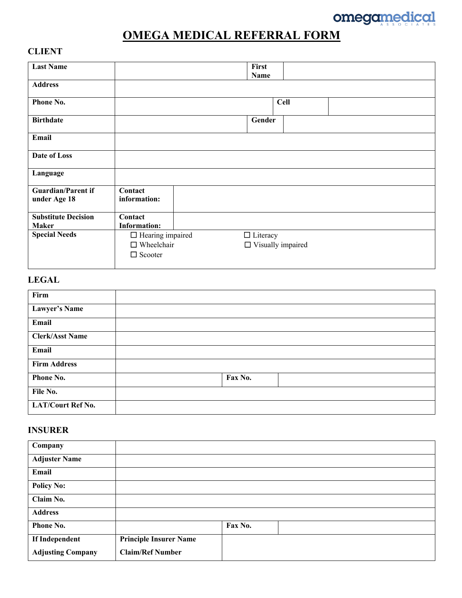

# **OMEGA MEDICAL REFERRAL FORM**

# **CLIENT**

| <b>Last Name</b>                          |                         | First<br>Name   |                          |
|-------------------------------------------|-------------------------|-----------------|--------------------------|
| <b>Address</b>                            |                         |                 |                          |
| Phone No.                                 |                         |                 | <b>Cell</b>              |
| <b>Birthdate</b>                          |                         | Gender          |                          |
| Email                                     |                         |                 |                          |
| <b>Date of Loss</b>                       |                         |                 |                          |
| Language                                  |                         |                 |                          |
| <b>Guardian/Parent if</b><br>under Age 18 | Contact<br>information: |                 |                          |
| <b>Substitute Decision</b>                | Contact                 |                 |                          |
| <b>Maker</b>                              | <b>Information:</b>     |                 |                          |
| <b>Special Needs</b>                      | $\Box$ Hearing impaired | $\Box$ Literacy |                          |
|                                           | $\Box$ Wheelchair       |                 | $\Box$ Visually impaired |
|                                           | $\Box$ Scooter          |                 |                          |

# **LEGAL**

| Firm                     |         |
|--------------------------|---------|
| <b>Lawyer's Name</b>     |         |
| Email                    |         |
| <b>Clerk/Asst Name</b>   |         |
| Email                    |         |
| <b>Firm Address</b>      |         |
| Phone No.                | Fax No. |
| File No.                 |         |
| <b>LAT/Court Ref No.</b> |         |

### **INSURER**

| Company                  |                               |         |
|--------------------------|-------------------------------|---------|
| <b>Adjuster Name</b>     |                               |         |
| Email                    |                               |         |
| <b>Policy No:</b>        |                               |         |
| Claim No.                |                               |         |
| <b>Address</b>           |                               |         |
| <b>Phone No.</b>         |                               | Fax No. |
| If Independent           | <b>Principle Insurer Name</b> |         |
| <b>Adjusting Company</b> | <b>Claim/Ref Number</b>       |         |